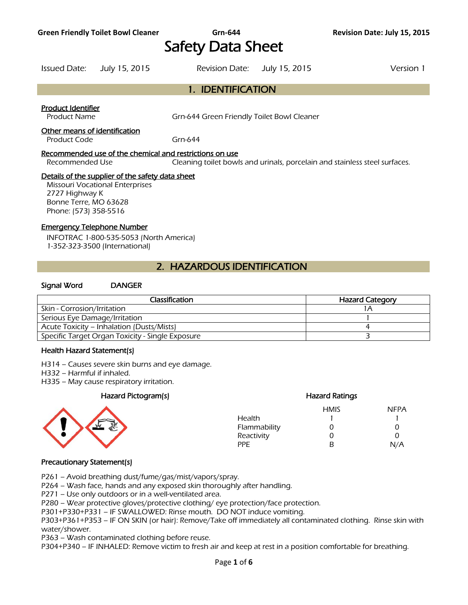# Safety Data Sheet

Issued Date: July 15, 2015 Revision Date: July 15, 2015 Version 1

# 1. IDENTIFICATION

#### Product Identifier

Product Name Grn-644 Green Friendly Toilet Bowl Cleaner

#### Other means of identification

Product Code Grn-644

#### Recommended use of the chemical and restrictions on use

Recommended Use Cleaning toilet bowls and urinals, porcelain and stainless steel surfaces.

#### Details of the supplier of the safety data sheet

Missouri Vocational Enterprises 2727 Highway K Bonne Terre, MO 63628 Phone: (573) 358-5516

#### Emergency Telephone Number

INFOTRAC 1-800-535-5053 (North America) 1-352-323-3500 (International)

# 2. HAZARDOUS IDENTIFICATION

#### Signal Word DANGER

| <b>Classification</b>                            | <b>Hazard Category</b> |
|--------------------------------------------------|------------------------|
| Skin - Corrosion/Irritation                      |                        |
| Serious Eye Damage/Irritation                    |                        |
| Acute Toxicity – Inhalation (Dusts/Mists)        |                        |
| Specific Target Organ Toxicity - Single Exposure |                        |
|                                                  |                        |

#### Health Hazard Statement(s)

H314 – Causes severe skin burns and eye damage.

- H332 Harmful if inhaled.
- H335 May cause respiratory irritation.

#### Hazard Pictogram(s) Hazard Ratings



# HMIS NFPA

| כוועוו ו | $I \cup I$        |
|----------|-------------------|
|          |                   |
| O        | $\mathbf{\Omega}$ |
| O        | $\mathbf{\Omega}$ |
| R        | N/A               |
|          |                   |

#### Precautionary Statement(s)

P261 – Avoid breathing dust/fume/gas/mist/vapors/spray.

P264 – Wash face, hands and any exposed skin thoroughly after handling.

P271 – Use only outdoors or in a well-ventilated area.

P280 – Wear protective gloves/protective clothing/ eye protection/face protection.

P301+P330+P331 – IF SWALLOWED: Rinse mouth. DO NOT induce vomiting.

P303+P361+P353 – IF ON SKIN (or hair): Remove/Take off immediately all contaminated clothing. Rinse skin with water/shower.

P363 – Wash contaminated clothing before reuse.

P304+P340 – IF INHALED: Remove victim to fresh air and keep at rest in a position comfortable for breathing.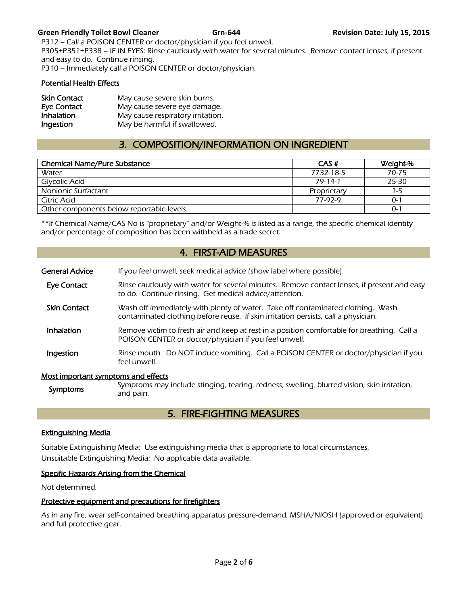#### **Green Friendly Toilet Bowl Cleaner Grn-644 Revision Date: July 15, 2015**

P312 – Call a POISON CENTER or doctor/physician if you feel unwell. P305+P351+P338 – IF IN EYES: Rinse cautiously with water for several minutes. Remove contact lenses, if present and easy to do. Continue rinsing. P310 – Immediately call a POISON CENTER or doctor/physician.

#### Potential Health Effects

| <b>Skin Contact</b> | May cause severe skin burns.      |
|---------------------|-----------------------------------|
| Eye Contact         | May cause severe eye damage.      |
| <b>Inhalation</b>   | May cause respiratory irritation. |
| Ingestion           | May be harmful if swallowed.      |

# 3. COMPOSITION/INFORMATION ON INGREDIENT

| <b>Chemical Name/Pure Substance</b>      | CAS#          | Weight-% |
|------------------------------------------|---------------|----------|
| Water                                    | 7732-18-5     | 70-75    |
| Glycolic Acid                            | $79 - 14 - 1$ | 25-30    |
| Nonionic Surfactant                      | Proprietary   | 1-5      |
| Citric Acid                              | 77-92-9       | 0-1      |
| Other components below reportable levels |               | 0-       |
|                                          |               |          |

\*\*If Chemical Name/CAS No is "proprietary" and/or Weight-% is listed as a range, the specific chemical identity and/or percentage of composition has been withheld as a trade secret.

# 4. FIRST-AID MEASURES

| General Advice                      | If you feel unwell, seek medical advice (show label where possible).                                                                                                  |  |
|-------------------------------------|-----------------------------------------------------------------------------------------------------------------------------------------------------------------------|--|
| Eye Contact                         | Rinse cautiously with water for several minutes. Remove contact lenses, if present and easy<br>to do. Continue rinsing. Get medical advice/attention.                 |  |
| <b>Skin Contact</b>                 | Wash off immediately with plenty of water. Take off contaminated clothing. Wash<br>contaminated clothing before reuse. If skin irritation persists, call a physician. |  |
| <b>Inhalation</b>                   | Remove victim to fresh air and keep at rest in a position comfortable for breathing. Call a<br>POISON CENTER or doctor/physician if you feel unwell.                  |  |
| Ingestion                           | Rinse mouth. Do NOT induce vomiting. Call a POISON CENTER or doctor/physician if you<br>feel unwell.                                                                  |  |
| Most important symptoms and effects |                                                                                                                                                                       |  |

#### Most important symptoms and effects

| <b>Symptoms</b> | Symptoms may include stinging, tearing, redness, swelling, blurred vision, skin irritation,<br>and pain. |
|-----------------|----------------------------------------------------------------------------------------------------------|
|-----------------|----------------------------------------------------------------------------------------------------------|

# 5. FIRE-FIGHTING MEASURES

#### Extinguishing Media

Suitable Extinguishing Media: Use extinguishing media that is appropriate to local circumstances. Unsuitable Extinguishing Media: No applicable data available.

#### Specific Hazards Arising from the Chemical

Not determined.

#### Protective equipment and precautions for firefighters

As in any fire, wear self-contained breathing apparatus pressure-demand, MSHA/NIOSH (approved or equivalent) and full protective gear.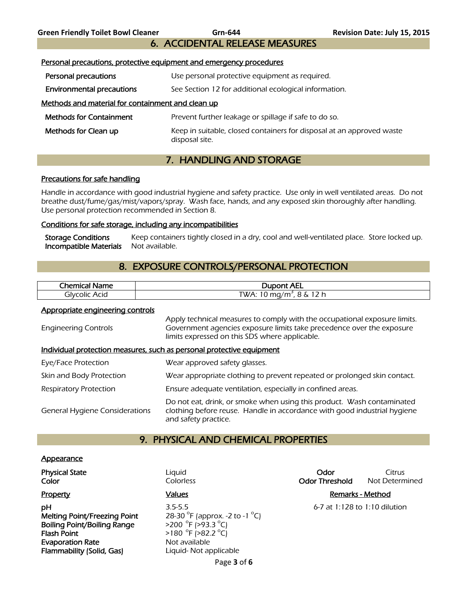6. ACCIDENTAL RELEASE MEASURES

| Personal precautions, protective equipment and emergency procedures |                                                                                         |  |
|---------------------------------------------------------------------|-----------------------------------------------------------------------------------------|--|
| Personal precautions                                                | Use personal protective equipment as required.                                          |  |
| <b>Environmental precautions</b>                                    | See Section 12 for additional ecological information.                                   |  |
| Methods and material for containment and clean up                   |                                                                                         |  |
| <b>Methods for Containment</b>                                      | Prevent further leakage or spillage if safe to do so.                                   |  |
| Methods for Clean up                                                | Keep in suitable, closed containers for disposal at an approved waste<br>disposal site. |  |
| 7. HANDLING AND STORAGE                                             |                                                                                         |  |

#### Precautions for safe handling

Handle in accordance with good industrial hygiene and safety practice. Use only in well ventilated areas. Do not breathe dust/fume/gas/mist/vapors/spray. Wash face, hands, and any exposed skin thoroughly after handling. Use personal protection recommended in Section 8.

#### Conditions for safe storage, including any incompatibilities

Storage Conditions Keep containers tightly closed in a dry, cool and well-ventilated place. Store locked up. **Incompatible Materials** Not available.

# 8. EXPOSURE CONTROLS/PERSONAL PROTECTION

| .<br>Chemical<br>Name | <b>Dupont AEL</b>                                    |
|-----------------------|------------------------------------------------------|
| Acid<br>olvcolicد     | つん<br>$\sim$<br>ື<br>WA: TO mg/<br>^.<br>.<br>.<br>ັ |
|                       |                                                      |

#### Appropriate engineering controls

| <b>Engineering Controls</b>                                           | Apply technical measures to comply with the occupational exposure limits.<br>Government agencies exposure limits take precedence over the exposure<br>limits expressed on this SDS where applicable. |  |
|-----------------------------------------------------------------------|------------------------------------------------------------------------------------------------------------------------------------------------------------------------------------------------------|--|
| Individual protection measures, such as personal protective equipment |                                                                                                                                                                                                      |  |
| Eye/Face Protection                                                   | Wear approved safety glasses.                                                                                                                                                                        |  |
| Skin and Body Protection                                              | Wear appropriate clothing to prevent repeated or prolonged skin contact.                                                                                                                             |  |
| <b>Respiratory Protection</b>                                         | Ensure adequate ventilation, especially in confined areas.                                                                                                                                           |  |
| <b>General Hygiene Considerations</b>                                 | Do not eat, drink, or smoke when using this product. Wash contaminated<br>clothing before reuse. Handle in accordance with good industrial hygiene<br>and safety practice.                           |  |

### 9. PHYSICAL AND CHEMICAL PROPERTIES

#### **Appearance**

Melting Point/Freezing Point Boiling Point/Boiling Range Flash Point **Evaporation Rate** Not available Flammability (Solid, Gas) Liquid- Not applicable

**pH** 3.5-5.5 6-7 at 1:128 to 1:10 dilution F (approx. -2 to -1  $^{\circ}$ C) F (>93.3 °C)  $F( >82.2 °C)$ 

**Physical State Citrus Liquid Community Community Community Community Community Citrus Citrus Color Color Colorless Color Color Color Color Threshold** Not Determined

### Property **Contract Contract Contract Contract Contract Contract Contract Contract Contract Contract Contract Contract Contract Contract Contract Contract Contract Contract Contract Contract Contract Contract Contract Contr**

Page **3** of **6**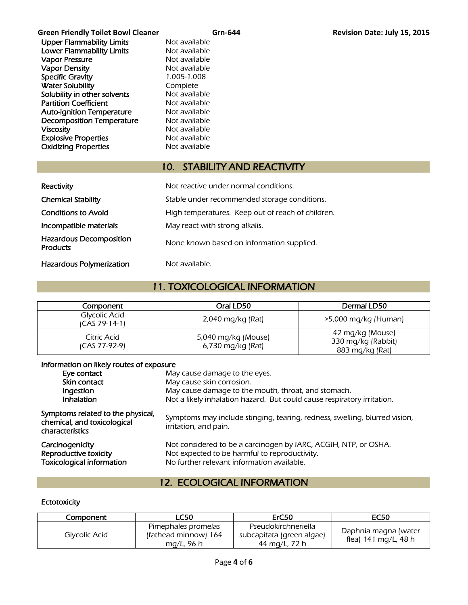Green Friendly Toilet Bowl Cleaner **Grn-644 Graen Cleanus Contact Cleanus** Revision Date: July 15, 2015 Upper Flammability Limits Not available **Lower Flammability Limits** Not available<br> **Vapor Pressure** Not available Vapor Pressure<br>
Vapor Density<br>
Vapor Density<br>
Vapor Density Vapor Density Specific Gravity 1.005-1.008 Water Solubility **Complete** Solubility in other solvents Not available Partition Coefficient Not available Auto-ignition Temperature Mot available Decomposition Temperature Mot available Viscosity **Not available** Not available Explosive Properties<br>
Oxidizing Properties<br>
Not available **Oxidizing Properties** 

# 10. STABILITY AND REACTIVITY

| Reactivity                                        | Not reactive under normal conditions.             |
|---------------------------------------------------|---------------------------------------------------|
| <b>Chemical Stability</b>                         | Stable under recommended storage conditions.      |
| <b>Conditions to Avoid</b>                        | High temperatures. Keep out of reach of children. |
| Incompatible materials                            | May react with strong alkalis.                    |
| <b>Hazardous Decomposition</b><br><b>Products</b> | None known based on information supplied.         |
| <b>Hazardous Polymerization</b>                   | Not available.                                    |

# 11. TOXICOLOGICAL INFORMATION

| Component                      | Oral LD50                                | Dermal LD50                                               |
|--------------------------------|------------------------------------------|-----------------------------------------------------------|
| Glycolic Acid<br>ICAS 79-14-11 | $2,040$ mg/kg (Rat)                      | $>5,000$ mg/kg (Human)                                    |
| Citric Acid<br>(CAS 77-92-9)   | 5,040 mg/kg (Mouse)<br>6,730 mg/kg (Rat) | 42 mg/kg (Mouse)<br>330 mg/kg (Rabbit)<br>883 mg/kg (Rat) |

#### Information on likely routes of exposure

| Eye contact                                                                         | May cause damage to the eyes.                                                                                                                                  |
|-------------------------------------------------------------------------------------|----------------------------------------------------------------------------------------------------------------------------------------------------------------|
| Skin contact                                                                        | May cause skin corrosion.                                                                                                                                      |
| Ingestion                                                                           | May cause damage to the mouth, throat, and stomach.                                                                                                            |
| <b>Inhalation</b>                                                                   | Not a likely inhalation hazard. But could cause respiratory irritation.                                                                                        |
| Symptoms related to the physical,<br>chemical, and toxicological<br>characteristics | Symptoms may include stinging, tearing, redness, swelling, blurred vision,<br>irritation, and pain.                                                            |
| Carcinogenicity<br>Reproductive toxicity<br><b>Toxicological information</b>        | Not considered to be a carcinogen by IARC, ACGIH, NTP, or OSHA.<br>Not expected to be harmful to reproductivity.<br>No further relevant information available. |

# 12. ECOLOGICAL INFORMATION

#### **Ectotoxicity**

| Component     | <b>LC50</b>                                               | ErC50                                                             | <b>EC50</b>                                  |
|---------------|-----------------------------------------------------------|-------------------------------------------------------------------|----------------------------------------------|
| Glycolic Acid | Pimephales promelas<br>(fathead minnow) 164<br>mg/L, 96 h | Pseudokirchneriella<br>subcapitata (green algae)<br>44 mg/L, 72 h | Daphnia magna (water<br>flea) 141 mg/L, 48 h |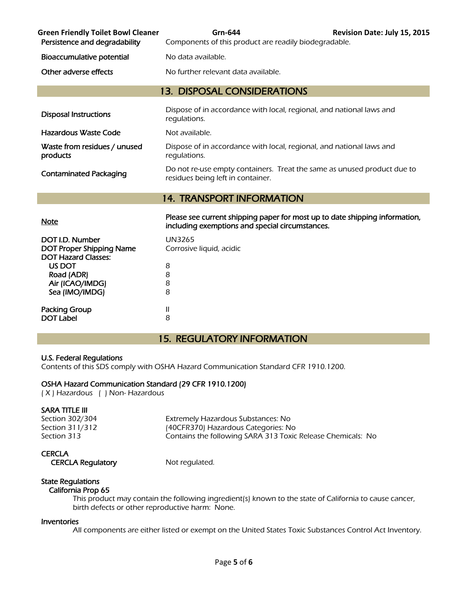| <b>Green Friendly Toilet Bowl Cleaner</b><br>Persistence and degradability | Grn-644<br>Components of this product are readily biodegradable.                                                               | Revision Date: July 15, 2015 |  |  |
|----------------------------------------------------------------------------|--------------------------------------------------------------------------------------------------------------------------------|------------------------------|--|--|
| Bioaccumulative potential                                                  | No data available.                                                                                                             |                              |  |  |
| Other adverse effects                                                      | No further relevant data available.                                                                                            |                              |  |  |
| <b>13. DISPOSAL CONSIDERATIONS</b>                                         |                                                                                                                                |                              |  |  |
| <b>Disposal Instructions</b>                                               | Dispose of in accordance with local, regional, and national laws and<br>regulations.                                           |                              |  |  |
| <b>Hazardous Waste Code</b>                                                | Not available.                                                                                                                 |                              |  |  |
| Waste from residues / unused<br>products                                   | Dispose of in accordance with local, regional, and national laws and<br>regulations.                                           |                              |  |  |
| <b>Contaminated Packaging</b>                                              | Do not re-use empty containers. Treat the same as unused product due to<br>residues being left in container.                   |                              |  |  |
|                                                                            | <b>14. TRANSPORT INFORMATION</b>                                                                                               |                              |  |  |
| <u>Note</u>                                                                | Please see current shipping paper for most up to date shipping information,<br>including exemptions and special circumstances. |                              |  |  |

| DOT I.D. Number<br><b>DOT Proper Shipping Name</b><br><b>DOT Hazard Classes:</b> | UN3265<br>Corrosive liquid, acidic |
|----------------------------------------------------------------------------------|------------------------------------|
| US DOT                                                                           | 8                                  |
| Road (ADR)                                                                       | 8                                  |
| Air (ICAO/IMDG)                                                                  | 8                                  |
| Sea (IMO/IMDG)                                                                   | 8                                  |
| <b>Packing Group</b><br><b>DOT Label</b>                                         | Ш<br>8                             |

# 15. REGULATORY INFORMATION

#### U.S. Federal Regulations

Contents of this SDS comply with OSHA Hazard Communication Standard CFR 1910.1200.

#### OSHA Hazard Communication Standard (29 CFR 1910.1200)

( X ) Hazardous ( ) Non- Hazardous

#### SARA TITLE III

Section 302/304 Extremely Hazardous Substances: No Section 311/312 (40CFR370) Hazardous Categories: No Section 313 Contains the following SARA 313 Toxic Release Chemicals: No

#### **CERCLA**

CERCLA Regulatory Mot regulated.

#### State Regulations California Prop 65

 This product may contain the following ingredient(s) known to the state of California to cause cancer, birth defects or other reproductive harm: None.

#### Inventories

All components are either listed or exempt on the United States Toxic Substances Control Act Inventory.